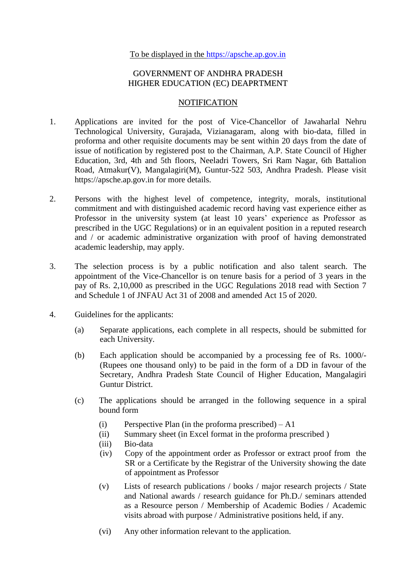## GOVERNMENT OF ANDHRA PRADESH HIGHER EDUCATION (EC) DEAPRTMENT

## **NOTIFICATION**

- 1. Applications are invited for the post of Vice-Chancellor of Jawaharlal Nehru Technological University, Gurajada, Vizianagaram, along with bio-data, filled in proforma and other requisite documents may be sent within 20 days from the date of issue of notification by registered post to the Chairman, A.P. State Council of Higher Education, 3rd, 4th and 5th floors, Neeladri Towers, Sri Ram Nagar, 6th Battalion Road, Atmakur(V), Mangalagiri(M), Guntur-522 503, Andhra Pradesh. Please visit https://apsche.ap.gov.in for more details.
- 2. Persons with the highest level of competence, integrity, morals, institutional commitment and with distinguished academic record having vast experience either as Professor in the university system (at least 10 years' experience as Professor as prescribed in the UGC Regulations) or in an equivalent position in a reputed research and / or academic administrative organization with proof of having demonstrated academic leadership, may apply.
- 3. The selection process is by a public notification and also talent search. The appointment of the Vice-Chancellor is on tenure basis for a period of 3 years in the pay of Rs. 2,10,000 as prescribed in the UGC Regulations 2018 read with Section 7 and Schedule 1 of JNFAU Act 31 of 2008 and amended Act 15 of 2020.
- 4. Guidelines for the applicants:
	- (a) Separate applications, each complete in all respects, should be submitted for each University.
	- (b) Each application should be accompanied by a processing fee of Rs. 1000/- (Rupees one thousand only) to be paid in the form of a DD in favour of the Secretary, Andhra Pradesh State Council of Higher Education, Mangalagiri Guntur District.
	- (c) The applications should be arranged in the following sequence in a spiral bound form
		- (i) Perspective Plan (in the proforma prescribed)  $A1$
		- (ii) Summary sheet (in Excel format in the proforma prescribed )
		- (iii) Bio-data
		- (iv) Copy of the appointment order as Professor or extract proof from the SR or a Certificate by the Registrar of the University showing the date of appointment as Professor
		- (v) Lists of research publications / books / major research projects / State and National awards / research guidance for Ph.D./ seminars attended as a Resource person / Membership of Academic Bodies / Academic visits abroad with purpose / Administrative positions held, if any.
		- (vi) Any other information relevant to the application.